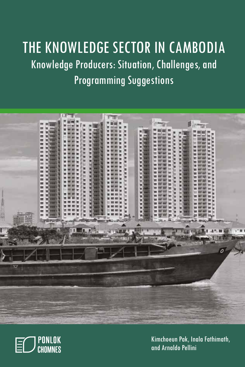# THE KNOWLEDGE SECTOR IN CAMBODIA Knowledge Producers: Situation, Challenges, and Programming Suggestions





Kimchoeun Pak, Inala Fathimath, and Arnaldo Pellini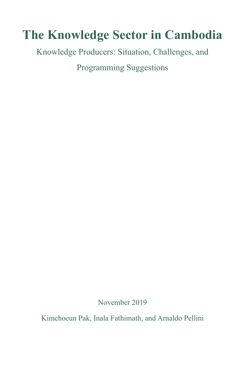# **The Knowledge Sector in Cambodia**

Knowledge Producers: Situation, Challenges, and

Programming Suggestions

November 2019

Kimchoeun Pak, Inala Fathimath, and Arnaldo Pellini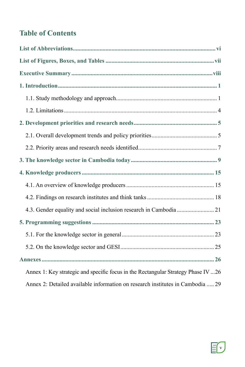# **Table of Contents**

| Annex 1: Key strategic and specific focus in the Rectangular Strategy Phase IV  26 |
|------------------------------------------------------------------------------------|
| Annex 2: Detailed available information on research institutes in Cambodia  29     |

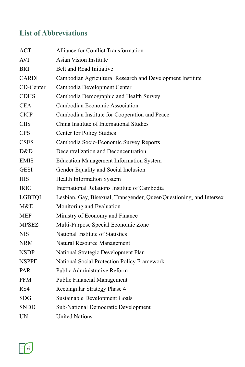# **List of Abbreviations**

| <b>ACT</b>    | <b>Alliance for Conflict Transformation</b>                          |
|---------------|----------------------------------------------------------------------|
| AVI           | <b>Asian Vision Institute</b>                                        |
| BRI           | Belt and Road Initiative                                             |
| <b>CARDI</b>  | Cambodian Agricultural Research and Development Institute            |
| CD-Center     | Cambodia Development Center                                          |
| <b>CDHS</b>   | Cambodia Demographic and Health Survey                               |
| <b>CEA</b>    | Cambodian Economic Association                                       |
| <b>CICP</b>   | Cambodian Institute for Cooperation and Peace                        |
| <b>CIIS</b>   | China Institute of International Studies                             |
| <b>CPS</b>    | Center for Policy Studies                                            |
| <b>CSES</b>   | Cambodia Socio-Economic Survey Reports                               |
| D&D           | Decentralization and Deconcentration                                 |
| <b>EMIS</b>   | <b>Education Management Information System</b>                       |
| <b>GESI</b>   | Gender Equality and Social Inclusion                                 |
| <b>HIS</b>    | <b>Health Information System</b>                                     |
| <b>IRIC</b>   | International Relations Institute of Cambodia                        |
| <b>LGBTQI</b> | Lesbian, Gay, Bisexual, Transgender, Queer/Questioning, and Intersex |
| M&E           | Monitoring and Evaluation                                            |
| <b>MEF</b>    | Ministry of Economy and Finance                                      |
| <b>MPSEZ</b>  | Multi-Purpose Special Economic Zone                                  |
| <b>NIS</b>    | National Institute of Statistics                                     |
| <b>NRM</b>    | Natural Resource Management                                          |
| <b>NSDP</b>   | National Strategic Development Plan                                  |
| <b>NSPPF</b>  | National Social Protection Policy Framework                          |
| <b>PAR</b>    | <b>Public Administrative Reform</b>                                  |
| <b>PFM</b>    | <b>Public Financial Management</b>                                   |
| RS4           | Rectangular Strategy Phase 4                                         |
| SDG           | <b>Sustainable Development Goals</b>                                 |
| <b>SNDD</b>   | <b>Sub-National Democratic Development</b>                           |
| UN            | <b>United Nations</b>                                                |

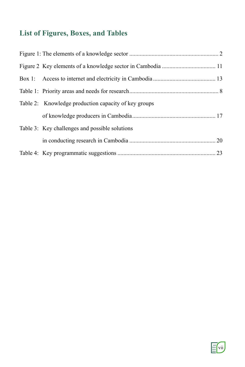# **List of Figures, Boxes, and Tables**

| Table 2: Knowledge production capacity of key groups |  |
|------------------------------------------------------|--|
|                                                      |  |
| Table 3: Key challenges and possible solutions       |  |
|                                                      |  |
|                                                      |  |

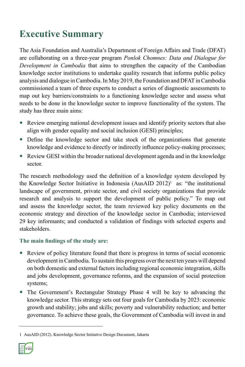# **Executive Summary**

The Asia Foundation and Australia's Department of Foreign Affairs and Trade (DFAT) are collaborating on a three-year program *Ponlok Chomnes: Data and Dialogue for Development in Cambodia* that aims to strengthen the capacity of the Cambodian knowledge sector institutions to undertake quality research that informs public policy analysis and dialogue in Cambodia. In May 2019, the Foundation and DFAT in Cambodia commissioned a team of three experts to conduct a series of diagnostic assessments to map out key barriers/constraints to a functioning knowledge sector and assess what needs to be done in the knowledge sector to improve functionality of the system. The study has three main aims:

- Review emerging national development issues and identify priority sectors that also align with gender equality and social inclusion (GESI) principles;
- Define the knowledge sector and take stock of the organizations that generate knowledge and evidence to directly or indirectly influence policy-making processes;
- Review GESI within the broader national development agenda and in the knowledge sector.

The research methodology used the definition of a knowledge system developed by the Knowledge Sector Initiative in Indonesia (AusAID  $2012$ )<sup>1</sup> as: "the institutional landscape of government, private sector, and civil society organizations that provide research and analysis to support the development of public policy." To map out and assess the knowledge sector, the team reviewed key policy documents on the economic strategy and direction of the knowledge sector in Cambodia; interviewed 29 key informants; and conducted a validation of findings with selected experts and stakeholders.

### **The main findings of the study are:**

- Review of policy literature found that there is progress in terms of social economic development in Cambodia. To sustain this progress over the next ten years will depend on both domestic and external factors including regional economic integration, skills and jobs development, governance reforms, and the expansion of social protection systems;
- The Government's Rectangular Strategy Phase 4 will be key to advancing the knowledge sector. This strategy sets out four goals for Cambodia by 2023: economic growth and stability; jobs and skills; poverty and vulnerability reduction; and better governance. To achieve these goals, the Government of Cambodia will invest in and

<sup>1</sup> AusAID (2012). Knowledge Sector Initiative Design Document, Jakarta

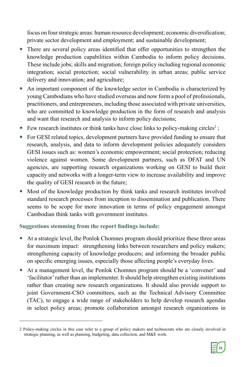focus on four strategic areas: human resource development; economic diversification; private sector development and employment; and sustainable development;

- There are several policy areas identified that offer opportunities to strengthen the knowledge production capabilities within Cambodia to inform policy decisions. These include jobs; skills and migration; foreign policy including regional economic integration; social protection; social vulnerability in urban areas; public service delivery and innovation; and agriculture;
- An important component of the knowledge sector in Cambodia is characterized by young Cambodians who have studied overseas and now form a pool of professionals, practitioners, and entrepreneurs, including those associated with private universities, who are committed to knowledge production in the form of research and analysis and want that research and analysis to inform policy decisions;
- Few research institutes or think tanks have close links to policy-making circles<sup>2</sup>;
- For GESI related topics, development partners have provided funding to ensure that research, analysis, and data to inform development policies adequately considers GESI issues such as: women's economic empowerment; social protection; reducing violence against women. Some development partners, such as DFAT and UN agencies, are supporting research organizations working on GESI to build their capacity and networks with a longer-term view to increase availability and improve the quality of GESI research in the future;
- Most of the knowledge production by think tanks and research institutes involved standard research processes from inception to dissemination and publication. There seems to be scope for more innovation in terms of policy engagement amongst Cambodian think tanks with government institutes.

### **Suggestions stemming from the report findings include:**

- At a strategic level, the Ponlok Chomnes program should prioritize these three areas for maximum impact: strengthening links between researchers and policy makers; strengthening capacity of knowledge producers; and informing the broader public on specific emerging issues, especially those affecting people's everyday lives.
- At a management level, the Ponlok Chomnes program should be a 'convener' and 'facilitator' rather than an implementer. It should help strengthen existing institutions rather than creating new research organizations. It should also provide support to joint Government-CSO committees, such as the Technical Advisory Committee (TAC), to engage a wide range of stakeholders to help develop research agendas in select policy areas; promote collaboration amongst research organizations in

<sup>2</sup> Policy-making circles in this case refer to a group of policy makers and technocrats who are closely involved in strategic planning, as well as planning, budgeting, data collection, and M&E work.

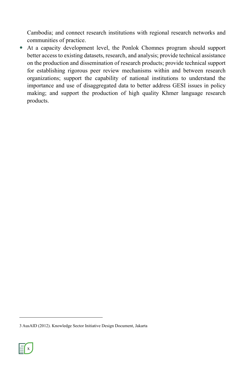Cambodia; and connect research institutions with regional research networks and communities of practice.

 At a capacity development level, the Ponlok Chomnes program should support better access to existing datasets, research, and analysis; provide technical assistance on the production and dissemination of research products; provide technical support for establishing rigorous peer review mechanisms within and between research organizations; support the capability of national institutions to understand the importance and use of disaggregated data to better address GESI issues in policy making; and support the production of high quality Khmer language research products.

<sup>3</sup> AusAID (2012). Knowledge Sector Initiative Design Document, Jakarta

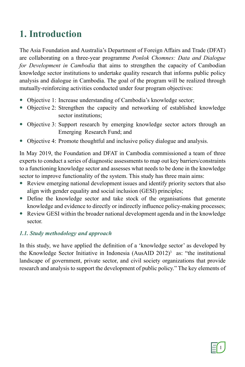# **1. Introduction**

The Asia Foundation and Australia's Department of Foreign Affairs and Trade (DFAT) are collaborating on a three-year programme *Ponlok Chomnes: Data and Dialogue for Development in Cambodia* that aims to strengthen the capacity of Cambodian knowledge sector institutions to undertake quality research that informs public policy analysis and dialogue in Cambodia. The goal of the program will be realized through mutually-reinforcing activities conducted under four program objectives:

- Objective 1: Increase understanding of Cambodia's knowledge sector;
- Objective 2: Strengthen the capacity and networking of established knowledge sector institutions;
- Objective 3: Support research by emerging knowledge sector actors through an Emerging Research Fund; and
- Objective 4: Promote thoughtful and inclusive policy dialogue and analysis.

In May 2019, the Foundation and DFAT in Cambodia commissioned a team of three experts to conduct a series of diagnostic assessments to map out key barriers/constraints to a functioning knowledge sector and assesses what needs to be done in the knowledge sector to improve functionality of the system. This study has three main aims:

- Review emerging national development issues and identify priority sectors that also align with gender equality and social inclusion (GESI) principles;
- Define the knowledge sector and take stock of the organisations that generate knowledge and evidence to directly or indirectly influence policy-making processes;
- Review GESI within the broader national development agenda and in the knowledge sector.

### *1.1. Study methodology and approach*

In this study, we have applied the definition of a 'knowledge sector' as developed by the Knowledge Sector Initiative in Indonesia (AusAID 2012)<sup>3</sup> as: "the institutional landscape of government, private sector, and civil society organizations that provide research and analysis to support the development of public policy." The key elements of

$$
\text{E}\text{O}
$$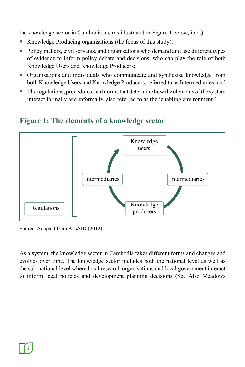the knowledge sector in Cambodia are (as illustrated in Figure 1 below, ibid.):

- Knowledge Producing organisations (the focus of this study);
- Policy makers, civil servants, and organisations who demand and use different types of evidence to inform policy debate and decisions, who can play the role of both Knowledge Users and Knowledge Producers;
- Organisations and individuals who communicate and synthesise knowledge from both Knowledge Users and Knowledge Producers, referred to as Intermediaries; and
- The regulations, procedures, and norms that determine how the elements of the system interact formally and informally, also referred to as the 'enabling environment.'



### **Figure 1: The elements of a knowledge sector**

Source: Adapted from AusAID (2012).

As a system, the knowledge sector in Cambodia takes different forms and changes and evolves over time. The knowledge sector includes both the national level as well as the sub-national level where local research organisations and local government interact to inform local policies and development planning decisions (See Also Meadows

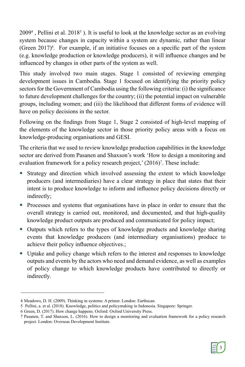$2009<sup>4</sup>$ , Pellini et al.  $2018<sup>5</sup>$ ). It is useful to look at the knowledge sector as an evolving system because changes in capacity within a system are dynamic, rather than linear (Green  $2017$ )<sup>6</sup>. For example, if an initiative focuses on a specific part of the system (e.g. knowledge production or knowledge producers), it will influence changes and be influenced by changes in other parts of the system as well.

This study involved two main stages. Stage 1 consisted of reviewing emerging development issues in Cambodia. Stage 1 focused on identifying the priority policy sectors for the Government of Cambodia using the following criteria: (i) the significance to future development challenges for the country; (ii) the potential impact on vulnerable groups, including women; and (iii) the likelihood that different forms of evidence will have on policy decisions in the sector.

Following on the findings from Stage 1, Stage 2 consisted of high-level mapping of the elements of the knowledge sector in those priority policy areas with a focus on knowledge-producing organisations and GESI.

The criteria that we used to review knowledge production capabilities in the knowledge sector are derived from Pasanen and Shaxson's work 'How to design a monitoring and evaluation framework for a policy research project,' (2016)<sup>7</sup>. These include:

- Strategy and direction which involved assessing the extent to which knowledge producers (and intermediaries) have a clear strategy in place that states that their intent is to produce knowledge to inform and influence policy decisions directly or indirectly;
- Processes and systems that organisations have in place in order to ensure that the overall strategy is carried out, monitored, and documented, and that high-quality knowledge product outputs are produced and communicated for policy impact;
- Outputs which refers to the types of knowledge products and knowledge sharing events that knowledge producers (and intermediary organisations) produce to achieve their policy influence objectives.;
- Uptake and policy change which refers to the interest and responses to knowledge outputs and events by the actors who need and demand evidence, as well as examples of policy change to which knowledge products have contributed to directly or indirectly.

 <sup>7</sup> Pasanen, T. and Shaxson, L. (2016). How to design a monitoring and evaluation framework for a policy research project. London: Overseas Development Institute.



 <sup>4</sup> Meadows, D. H. (2009). Thinking in systems: A primer. London: Earthscan.

 <sup>5</sup> Pellini, a. et al. (2018). Knowledge, politics and policymaking in Indonesia. Singapore: Springer.

 <sup>6</sup> Green, D. (2017). How change happens. Oxford: Oxford University Press.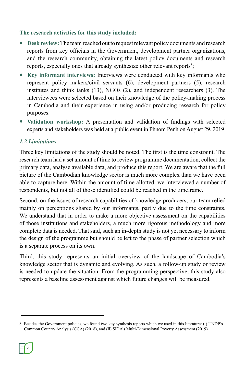### **The research activities for this study included:**

- **Desk review:** The team reached out to request relevant policy documents and research reports from key officials in the Government, development partner organizations, and the research community, obtaining the latest policy documents and research reports, especially ones that already synthesize other relevant reports<sup>8</sup>;
- **Key informant interviews:** Interviews were conducted with key informants who represent policy makers/civil servants (6), development partners (5), research institutes and think tanks (13), NGOs (2), and independent researchers (3). The interviewees were selected based on their knowledge of the policy-making process in Cambodia and their experience in using and/or producing research for policy purposes.
- **Validation workshop:** A presentation and validation of findings with selected experts and stakeholders was held at a public event in Phnom Penh on August 29, 2019.

### *1.2 Limitations*

Three key limitations of the study should be noted. The first is the time constraint. The research team had a set amount of time to review programme documentation, collect the primary data, analyse available data, and produce this report. We are aware that the full picture of the Cambodian knowledge sector is much more complex than we have been able to capture here. Within the amount of time allotted, we interviewed a number of respondents, but not all of those identified could be reached in the timeframe.

Second, on the issues of research capabilities of knowledge producers, our team relied mainly on perceptions shared by our informants, partly due to the time constraints. We understand that in order to make a more objective assessment on the capabilities of those institutions and stakeholders, a much more rigorous methodology and more complete data is needed. That said, such an in-depth study is not yet necessary to inform the design of the programme but should be left to the phase of partner selection which is a separate process on its own.

Third, this study represents an initial overview of the landscape of Cambodia's knowledge sector that is dynamic and evolving. As such, a follow-up study or review is needed to update the situation. From the programming perspective, this study also represents a baseline assessment against which future changes will be measured.

<sup>8</sup> Besides the Government policies, we found two key synthesis reports which we used in this literature: (i) UNDP's Common Country Analysis (CCA) (2018), and (ii) SIDA's Multi-Dimensional Poverty Assessment (2019).

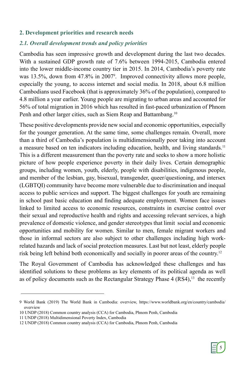### **2. Development priorities and research needs**

### *2.1. Overall development trends and policy priorities*

Cambodia has seen impressive growth and development during the last two decades. With a sustained GDP growth rate of 7.6% between 1994-2015, Cambodia entered into the lower middle-income country tier in 2015. In 2014, Cambodia's poverty rate was 13.5%, down from 47.8% in 2007<sup>9</sup>. Improved connectivity allows more people, especially the young, to access internet and social media. In 2018, about 6.8 million Cambodians used Facebook (that is approximately 36% of the population), compared to 4.8 million a year earlier. Young people are migrating to urban areas and accounted for 56% of total migration in 2016 which has resulted in fast-paced urbanization of Phnom Penh and other larger cities, such as Siem Reap and Battambang.<sup>10</sup>

These positive developments provide new social and economic opportunities, especially for the younger generation. At the same time, some challenges remain. Overall, more than a third of Cambodia's population is multidimensionally poor taking into account a measure based on ten indicators including education, health, and living standards.11 This is a different measurement than the poverty rate and seeks to show a more holistic picture of how people experience poverty in their daily lives. Certain demographic groups, including women, youth, elderly, people with disabilities, indigenous people, and member of the lesbian, gay, bisexual, transgender, queer/questioning, and intersex (LGBTQI) community have become more vulnerable due to discrimination and inequal access to public services and support. The biggest challenges for youth are remaining in school past basic education and finding adequate employment. Women face issues linked to limited access to economic resources, constraints in exercise control over their sexual and reproductive health and rights and accessing relevant services, a high prevalence of domestic violence, and gender stereotypes that limit social and economic opportunities and mobility for women. Similar to men, female migrant workers and those in informal sectors are also subject to other challenges including high workrelated hazards and lack of social protection measures. Last but not least, elderly people risk being left behind both economically and socially in poorer areas of the country.12

The Royal Government of Cambodia has acknowledged these challenges and has identified solutions to these problems as key elements of its political agenda as well as of policy documents such as the Rectangular Strategy Phase  $4 (RS4)<sup>13</sup>$  the recently

<sup>9</sup> World Bank (2019) The World Bank in Cambodia: overview, https://www.worldbank.org/en/country/cambodia/ overview

<sup>10</sup> UNDP (2018) Common country analysis (CCA) for Cambodia, Phnom Penh, Cambodia

<sup>11</sup> UNDP (2018) Multidimensional Poverty Index, Cambodia

<sup>12</sup> UNDP (2018) Common country analysis (CCA) for Cambodia, Phnom Penh, Cambodia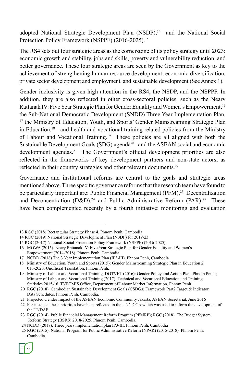adopted National Strategic Development Plan (NSDP),<sup>14</sup> and the National Social Protection Policy Framework (NSPPF) (2016-2025).<sup>15</sup>

The RS4 sets out four strategic areas as the cornerstone of its policy strategy until 2023: economic growth and stability, jobs and skills, poverty and vulnerability reduction, and better governance. These four strategic areas are seen by the Government as key to the achievement of strengthening human resource development, economic diversification, private sector development and employment, and sustainable development (See Annex 1).

Gender inclusivity is given high attention in the RS4, the NSDP, and the NSPPF. In addition, they are also reflected in other cross-sectoral policies, such as the Neary Rattanak IV: Five Year Strategic Plan for Gender Equality and Women's Empowerment.<sup>16</sup> the Sub-National Democratic Development (SNDD) Three Year Implementation Plan, <sup>17</sup> the Ministry of Education, Youth, and Sports' Gender Mainstreaming Strategic Plan in Education, $18$  and health and vocational training related policies from the Ministry of Labour and Vocational Training.19 These policies are all aligned with both the Sustainable Development Goals (SDG) agenda<sup>20</sup> and the ASEAN social and economic development agendas.<sup>21</sup> The Government's official development priorities are also reflected in the frameworks of key development partners and non-state actors, as reflected in their country strategies and other relevant documents.<sup>22</sup>

Governance and institutional reforms are central to the goals and strategic areas mentioned above. Three specific governance reforms that the research team have found to be particularly important are: Public Financial Management (PFM),<sup>23</sup> Decentralization and Deconcentration  $(D&D)^{24}$  and Public Administrative Reform (PAR).<sup>25</sup> These have been complemented recently by a fourth initiative: monitoring and evaluation

 <sup>25</sup> RGC (2015). National Program for Public Administrative Reform (NPAR) (2015-2018). Phnom Penh, Cambodia.



<sup>13</sup> RGC (2018) Rectangular Strategy Phase 4, Phnom Penh, Cambodia

<sup>14</sup> RGC (2019) National Strategic Development Plan (NSDP) for 2019-23.

<sup>15</sup> RGC (2017) National Social Protection Policy Framework (NSPPF) (2016-2025)

<sup>16</sup> MOWA (2015). Neary Rattanak IV: Five Year Strategic Plan for Gender Equality and Women's Empowerment (2014-2018). Phnom Penh, Cambodia

<sup>17</sup> NCDD (2018) The 3 Year Implementation Plan (IP3-III). Phnom Penh, Cambodia

<sup>18</sup> Ministry of Education, Youth and Sports (2015): Gender Mainstreaming Strategic Plan in Education 2 016-2020, Unofficial Translation, Phnom Penh.

<sup>19</sup> Ministry of Labour and Vocational Training, DGTVET (2016): Gender Policy and Action Plan, Phnom Penh.; Ministry of Labour and Vocational Training (2017): Technical and Vocational Education and Training Statistics 2015-16, TVETMIS Office, Department of Labour Market Information, Phnom Penh.

 <sup>20</sup> RGC (2018). Cambodian Sustainable Development Goals (CSDGs) Framework Part2 Target & Indicator Data Schedules. Phnom Penh, Cambodia.

 <sup>21</sup> Projected Gender Impact of the ASEAN Economic Community Jakarta, ASEAN Secretariat, June 2016

 <sup>22</sup> For instance, these priorities have been reflected in the UN's CCA which was used to inform the development of the UNDAF.

 <sup>23</sup> RGC (2014). Public Financial Management Reform Program (PFMRP); RGC (2018). The Budget System Reform Strategy (BSRS) 2018-2025. Phnom Penh, Cambodia.

 <sup>24</sup> NCDD (2017). Three years implementation plan IP3-III. Phnom Penh, Cambodia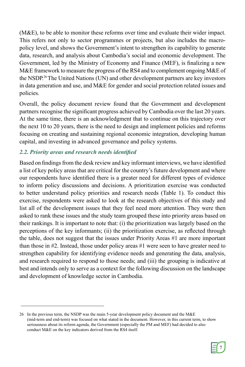(M&E), to be able to monitor these reforms over time and evaluate their wider impact. This refers not only to sector programmes or projects, but also includes the macropolicy level, and shows the Government's intent to strengthen its capability to generate data, research, and analysis about Cambodia's social and economic development. The Government, led by the Ministry of Economy and Finance (MEF), is finalizing a new M&E framework to measure the progress of the RS4 and to complement ongoing M&E of the NSDP.26 The United Nations (UN) and other development partners are key investors in data generation and use, and M&E for gender and social protection related issues and policies.

Overall, the policy document review found that the Government and development partners recognise the significant progress achieved by Cambodia over the last 20 years. At the same time, there is an acknowledgment that to continue on this trajectory over the next 10 to 20 years, there is the need to design and implement policies and reforms focusing on creating and sustaining regional economic integration, developing human capital, and investing in advanced governance and policy systems.

### *2.2. Priority areas and research needs identified*

Based on findings from the desk review and key informant interviews, we have identified a list of key policy areas that are critical for the country's future development and where our respondents have identified there is a greater need for different types of evidence to inform policy discussions and decisions. A prioritization exercise was conducted to better understand policy priorities and research needs (Table 1). To conduct this exercise, respondents were asked to look at the research objectives of this study and list all of the development issues that they feel need more attention. They were then asked to rank these issues and the study team grouped these into priority areas based on their rankings. It is important to note that: (i) the prioritization was largely based on the perceptions of the key informants; (ii) the prioritization exercise, as reflected through the table, does not suggest that the issues under Priority Areas #1 are more important than those in #2. Instead, those under policy areas #1 were seen to have greater need to strengthen capability for identifying evidence needs and generating the data, analysis, and research required to respond to those needs; and (iii) the grouping is indicative at best and intends only to serve as a context for the following discussion on the landscape and development of knowledge sector in Cambodia.

<sup>26</sup> In the previous term, the NSDP was the main 5-year development policy document and the M&E (mid-term and end-term) was focused on what stated in the document. However, in this current term, to show seriousness about its reform agenda, the Government (especially the PM and MEF) had decided to also conduct M&E on the key indicators derived from the RS4 itself.

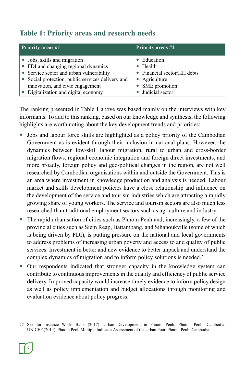# **Table 1: Priority areas and research needs**

| <b>Priority areas #1</b>                          | <b>Priority areas #2</b>    |  |
|---------------------------------------------------|-----------------------------|--|
| • Jobs, skills and migration                      | Education                   |  |
| • FDI and changing regional dynamics              | Health                      |  |
| • Service sector and urban vulnerability          | • Financial sector/HH debts |  |
| • Social protection, public services delivery and | Agriculture                 |  |
| innovation, and civic engagement                  | • SME promotion             |  |
| • Digitalization and digital economy              | Judicial sector             |  |

The ranking presented in Table 1 above was based mainly on the interviews with key informants. To add to this ranking, based on our knowledge and synthesis, the following highlights are worth noting about the key development trends and priorities:

- Jobs and labour force skills are highlighted as a policy priority of the Cambodian Government as is evident through their inclusion in national plans. However, the dynamics between low-skill labour migration, rural to urban and cross-border migration flows, regional economic integration and foreign direct investments, and more broadly, foreign policy and geo-political changes in the region, are not well researched by Cambodian organisations within and outside the Government. This is an area where investment in knowledge production and analysis is needed. Labour market and skills development policies have a close relationship and influence on the development of the service and tourism industries which are attracting a rapidly growing share of young workers. The service and tourism sectors are also much less researched than traditional employment sectors such as agriculture and industry.
- The rapid urbanisation of cities such as Phnom Penh and, increasingly, a few of the provincial cities such as Siem Reap, Battambang, and Sihanoukville (some of which is being driven by FDI), is putting pressure on the national and local governments to address problems of increasing urban poverty and access to and quality of public services. Investment in better and new evidence to better unpack and understand the complex dynamics of migration and to inform policy solutions is needed.<sup>27</sup>
- Our respondents indicated that stronger capacity in the knowledge system can contribute to continuous improvements in the quality and efficiency of public service delivery. Improved capacity would increase timely evidence to inform policy design as well as policy implementation and budget allocations through monitoring and evaluation evidence about policy progress.

<sup>27</sup> See for instance World Bank (2017). Urban Development in Phnom Penh. Phnom Penh, Cambodia; UNICEF (2014). Phnom Penh Multiple Indicator Assessment of the Urban Poor. Phnom Penh, Cambodia

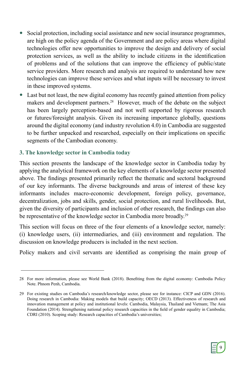- Social protection, including social assistance and new social insurance programmes, are high on the policy agenda of the Government and are policy areas where digital technologies offer new opportunities to improve the design and delivery of social protection services, as well as the ability to include citizens in the identification of problems and of the solutions that can improve the efficiency of public/state service providers. More research and analysis are required to understand how new technologies can improve these services and what inputs will be necessary to invest in these improved systems.
- Last but not least, the new digital economy has recently gained attention from policy makers and development partners.<sup>28</sup> However, much of the debate on the subject has been largely perception-based and not well supported by rigorous research or futures/foresight analysis. Given its increasing importance globally, questions around the digital economy (and industry revolution 4.0) in Cambodia are suggested to be further unpacked and researched, especially on their implications on specific segments of the Cambodian economy.

### **3. The knowledge sector in Cambodia today**

This section presents the landscape of the knowledge sector in Cambodia today by applying the analytical framework on the key elements of a knowledge sector presented above. The findings presented primarily reflect the thematic and sectoral background of our key informants. The diverse backgrounds and areas of interest of these key informants includes macro-economic development, foreign policy, governance, decentralization, jobs and skills, gender, social protection, and rural livelihoods. But, given the diversity of participants and inclusion of other research, the findings can also be representative of the knowledge sector in Cambodia more broadly.<sup>29</sup>

This section will focus on three of the four elements of a knowledge sector, namely: (i) knowledge users, (ii) intermediaries, and (iii) environment and regulation. The discussion on knowledge producers is included in the next section.

Policy makers and civil servants are identified as comprising the main group of



<sup>28</sup> For more information, please see World Bank (2018). Benefiting from the digital economy: Cambodia Policy Note. Phnom Penh, Cambodia.

<sup>29</sup> For existing studies on Cambodia's research/knowledge sector, please see for instance: CICP and GDN (2016). Doing research in Cambodia: Making models that build capacity; OECD (2013). Effectiveness of research and innovation management at policy and institutional levels: Cambodia, Malaysia, Thailand and Vietnam; The Asia Foundation (2014). Strengthening national policy research capacities in the field of gender equality in Cambodia; CDRI (2010). Scoping study: Research capacities of Cambodia's universities;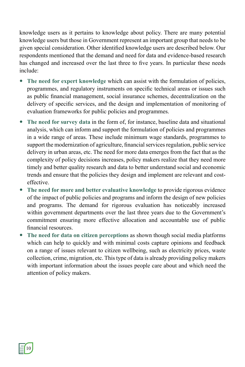knowledge users as it pertains to knowledge about policy. There are many potential knowledge users but those in Government represent an important group that needs to be given special consideration. Other identified knowledge users are described below. Our respondents mentioned that the demand and need for data and evidence-based research has changed and increased over the last three to five years. In particular these needs include:

- **The need for expert knowledge** which can assist with the formulation of policies, programmes, and regulatory instruments on specific technical areas or issues such as public financial management, social insurance schemes, decentralization on the delivery of specific services, and the design and implementation of monitoring of evaluation frameworks for public policies and programmes.
- **The need for survey data** in the form of, for instance, baseline data and situational analysis, which can inform and support the formulation of policies and programmes in a wide range of areas. These include minimum wage standards, programmes to support the modernization of agriculture, financial services regulation, public service delivery in urban areas, etc. The need for more data emerges from the fact that as the complexity of policy decisions increases, policy makers realize that they need more timely and better quality research and data to better understand social and economic trends and ensure that the policies they design and implement are relevant and costeffective.
- **The need for more and better evaluative knowledge** to provide rigorous evidence of the impact of public policies and programs and inform the design of new policies and programs. The demand for rigorous evaluation has noticeably increased within government departments over the last three years due to the Government's commitment ensuring more effective allocation and accountable use of public financial resources.
- **The need for data on citizen perceptions** as shown though social media platforms which can help to quickly and with minimal costs capture opinions and feedback on a range of issues relevant to citizen wellbeing, such as electricity prices, waste collection, crime, migration, etc. This type of data is already providing policy makers with important information about the issues people care about and which need the attention of policy makers.

10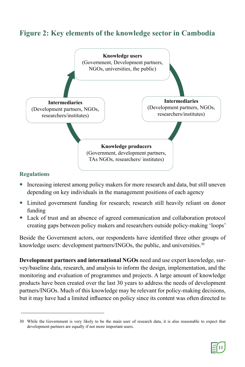# **Figure 2: Key elements of the knowledge sector in Cambodia**



### **Regulations**

- Increasing interest among policy makers for more research and data, but still uneven depending on key individuals in the management positions of each agency
- Limited government funding for research; research still heavily reliant on donor funding
- Lack of trust and an absence of agreed communication and collaboration protocol creating gaps between policy makers and researchers outside policy-making 'loops'

Beside the Government actors, our respondents have identified three other groups of knowledge users: development partners/INGOs, the public, and universities.<sup>30</sup>

**Development partners and international NGOs** need and use expert knowledge, survey/baseline data, research, and analysis to inform the design, implementation, and the monitoring and evaluation of programmes and projects. A large amount of knowledge products have been created over the last 30 years to address the needs of development partners/INGOs. Much of this knowledge may be relevant for policy-making decisions, but it may have had a limited influence on policy since its content was often directed to

<sup>30</sup> While the Government is very likely to be the main user of research data, it is also reasonable to expect that development partners are equally if not more important users.

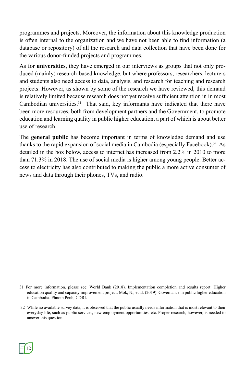programmes and projects. Moreover, the information about this knowledge production is often internal to the organization and we have not been able to find information (a database or repository) of all the research and data collection that have been done for the various donor-funded projects and programmes.

As for **universities**, they have emerged in our interviews as groups that not only produced (mainly) research-based knowledge, but where professors, researchers, lecturers and students also need access to data, analysis, and research for teaching and research projects. However, as shown by some of the research we have reviewed, this demand is relatively limited because research does not yet receive sufficient attention in in most Cambodian universities.<sup>31</sup> That said, key informants have indicated that there have been more resources, both from development partners and the Government, to promote education and learning quality in public higher education, a part of which is about better use of research.

The **general public** has become important in terms of knowledge demand and use thanks to the rapid expansion of social media in Cambodia (especially Facebook).<sup>32</sup> As detailed in the box below, access to internet has increased from 2.2% in 2010 to more than 71.3% in 2018. The use of social media is higher among young people. Better access to electricity has also contributed to making the public a more active consumer of news and data through their phones, TVs, and radio.



<sup>31</sup> For more information, please see: World Bank (2018). Implementation completion and results report: Higher education quality and capacity improvement project; Mok, N., et al. (2019). Governance in public higher education in Cambodia. Phnom Penh, CDRI.

 <sup>32</sup> While no available survey data, it is observed that the public usually needs information that is most relevant to their everyday life, such as public services, new employment opportunities, etc. Proper research, however, is needed to answer this question.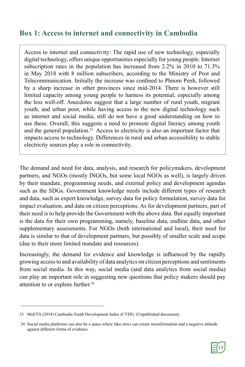### **Box 1: Access to internet and connectivity in Cambodia**

Access to internet and connectivity: The rapid use of new technology, especially digital technology, offers unique opportunities especially for young people. Internet subscription rates in the population has increased from 2.2% in 2010 to 71.3% in May 2018 with 8 million subscribers, according to the Ministry of Post and Telecommunication. Initially the increase was confined to Phnom Penh, followed by a sharp increase in other provinces since mid-2014. There is however still limited capacity among young people to harness its potential, especially among the less well-off. Anecdotes suggest that a large number of rural youth, migrant youth, and urban poor, while having access to the new digital technology such as internet and social media, still do not have a good understanding on how to use these. Overall, this suggests a need to promote digital literacy among youth and the general population.<sup>33</sup> Access to electricity is also an important factor that impacts access to technology. Differences in rural and urban accessibility to stable electricity sources play a role in connectivity.

The demand and need for data, analysis, and research for policymakers, development partners, and NGOs (mostly INGOs, but some local NGOs as well), is largely driven by their mandate, programming needs, and external policy and development agendas such as the SDGs. Government knowledge needs include different types of research and data, such as expert knowledge, survey data for policy formulation, survey data for impact evaluation, and data on citizen perceptions. As for development partners, part of their need is to help provide the Government with the above data. But equally important is the data for their own programming, namely, baseline data, endline data, and other supplementary assessments. For NGOs (both international and local), their need for data is similar to that of development partners, but possibly of smaller scale and scope (due to their more limited mandate and resources).

Increasingly, the demand for evidence and knowledge is influenced by the rapidly growing access to and availability of data analytics on citizen perceptions and sentiments from social media. In this way, social media (and data analytics from social media) can play an important role in suggesting new questions that policy makers should pay attention to or explore further.<sup>34</sup>

 <sup>34</sup> Social media platforms can also be a space where fake news can create misinformation and a negative attitude against different forms of evidence.



<sup>33</sup> MoEYS (2018) Cambodia Youth Development Index (CYDI). (Unpublished document).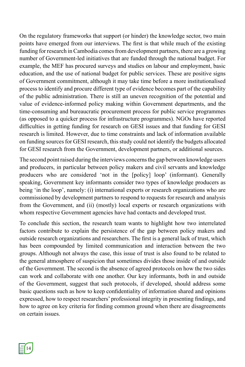On the regulatory frameworks that support (or hinder) the knowledge sector, two main points have emerged from our interviews. The first is that while much of the existing funding for research in Cambodia comes from development partners, there are a growing number of Government-led initiatives that are funded through the national budget. For example, the MEF has procured surveys and studies on labour and employment, basic education, and the use of national budget for public services. These are positive signs of Government commitment, although it may take time before a more institutionalised process to identify and procure different type of evidence becomes part of the capability of the public administration. There is still an uneven recognition of the potential and value of evidence-informed policy making within Government departments, and the time-consuming and bureaucratic procurement process for public service programmes (as opposed to a quicker process for infrastructure programmes). NGOs have reported difficulties in getting funding for research on GESI issues and that funding for GESI research is limited. However, due to time constraints and lack of information available on funding sources for GESI research, this study could not identify the budgets allocated for GESI research from the Government, development partners, or additional sources.

The second point raised during the interviews concerns the gap between knowledge users and producers, in particular between policy makers and civil servants and knowledge producers who are considered 'not in the [policy] loop' (informant). Generally speaking, Government key informants consider two types of knowledge producers as being 'in the loop', namely: (i) international experts or research organizations who are commissioned by development partners to respond to requests for research and analysis from the Government, and (ii) (mostly) local experts or research organizations with whom respective Government agencies have had contacts and developed trust.

To conclude this section, the research team wants to highlight how two interrelated factors contribute to explain the persistence of the gap between policy makers and outside research organizations and researchers. The first is a general lack of trust, which has been compounded by limited communication and interaction between the two groups. Although not always the case, this issue of trust is also found to be related to the general atmosphere of suspicion that sometimes divides those inside of and outside of the Government. The second is the absence of agreed protocols on how the two sides can work and collaborate with one another. Our key informants, both in and outside of the Government, suggest that such protocols, if developed, should address some basic questions such as how to keep confidentiality of information shared and opinions expressed, how to respect researchers' professional integrity in presenting findings, and how to agree on key criteria for finding common ground when there are disagreements on certain issues.

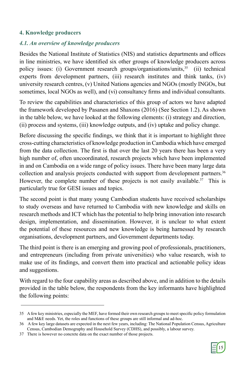### **4. Knowledge producers**

### *4.1. An overview of knowledge producers*

Besides the National Institute of Statistics (NIS) and statistics departments and offices in line ministries, we have identified six other groups of knowledge producers across policy issues: (i) Government research groups/organisations/units,<sup>35</sup> (ii) technical experts from development partners, (iii) research institutes and think tanks, (iv) university research centres, (v) United Nations agencies and NGOs (mostly INGOs, but sometimes, local NGOs as well), and (vi) consultancy firms and individual consultants.

To review the capabilities and characteristics of this group of actors we have adapted the framework developed by Pasanen and Shaxons (2016) (See Section 1.2). As shown in the table below, we have looked at the following elements: (i) strategy and direction, (ii) process and systems, (iii) knowledge outputs, and (iv) uptake and policy change.

Before discussing the specific findings, we think that it is important to highlight three cross-cutting characteristics of knowledge production in Cambodia which have emerged from the data collection. The first is that over the last 20 years there has been a very high number of, often uncoordinated, research projects which have been implemented in and on Cambodia on a wide range of policy issues. There have been many large data collection and analysis projects conducted with support from development partners.36 However, the complete number of these projects is not easily available.<sup>37</sup> This is particularly true for GESI issues and topics.

The second point is that many young Cambodian students have received scholarships to study overseas and have returned to Cambodia with new knowledge and skills on research methods and ICT which has the potential to help bring innovation into research design, implementation, and dissemination. However, it is unclear to what extent the potential of these resources and new knowledge is being harnessed by research organisations, development partners, and Government departments today.

The third point is there is an emerging and growing pool of professionals, practitioners, and entrepreneurs (including from private universities) who value research, wish to make use of its findings, and convert them into practical and actionable policy ideas and suggestions.

With regard to the four capability areas as described above, and in addition to the details provided in the table below, the respondents from the key informants have highlighted the following points:



<sup>35</sup> A few key ministries, especially the MEF, have formed their own research groups to meet specific policy formulation and M&E needs. Yet, the roles and functions of these groups are still informal and ad-hoc.

<sup>36</sup> A few key large datasets are expected in the next few years, including: The National Population Census, Agriculture Census, Cambodian Demography and Household Survey (CDHS), and possibly, a labour survey.

<sup>37</sup> There is however no concrete data on the exact number of those projects.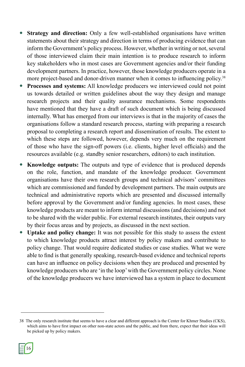- **Strategy and direction:** Only a few well-established organisations have written statements about their strategy and direction in terms of producing evidence that can inform the Government's policy process. However, whether in writing or not, several of those interviewed claim their main intention is to produce research to inform key stakeholders who in most cases are Government agencies and/or their funding development partners. In practice, however, those knowledge producers operate in a more project-based and donor-driven manner when it comes to influencing policy.<sup>38</sup>
- **Processes and systems:** All knowledge producers we interviewed could not point us towards detailed or written guidelines about the way they design and manage research projects and their quality assurance mechanisms. Some respondents have mentioned that they have a draft of such document which is being discussed internally. What has emerged from our interviews is that in the majority of cases the organisations follow a standard research process, starting with preparing a research proposal to completing a research report and dissemination of results. The extent to which these steps are followed, however, depends very much on the requirement of those who have the sign-off powers (i.e. clients, higher level officials) and the resources available (e.g. standby senior researchers, editors) to each institution.
- **Knowledge outputs:** The outputs and type of evidence that is produced depends on the role, function, and mandate of the knowledge producer. Government organisations have their own research groups and technical advisors' committees which are commissioned and funded by development partners. The main outputs are technical and administrative reports which are presented and discussed internally before approval by the Government and/or funding agencies. In most cases, these knowledge products are meant to inform internal discussions (and decisions) and not to be shared with the wider public. For external research institutes, their outputs vary by their focus areas and by projects, as discussed in the next section.
- **Uptake and policy change:** It was not possible for this study to assess the extent to which knowledge products attract interest by policy makers and contribute to policy change. That would require dedicated studies or case studies. What we were able to find is that generally speaking, research-based evidence and technical reports can have an influence on policy decisions when they are produced and presented by knowledge producers who are 'in the loop' with the Government policy circles. None of the knowledge producers we have interviewed has a system in place to document

<sup>38</sup> The only research institute that seems to have a clear and different approach is the Center for Khmer Studies (CKS), which aims to have first impact on other non-state actors and the public, and from there, expect that their ideas will be picked up by policy makers.

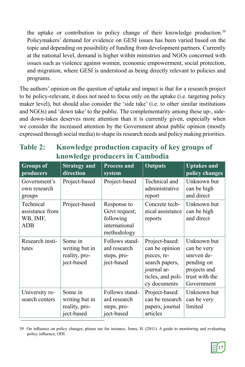the uptake or contribution to policy change of their knowledge production.<sup>39</sup> Policymakers' demand for evidence on GESI issues has been varied based on the topic and depending on possibility of funding from development partners. Currently at the national level, demand is higher within ministries and NGOs concerned with issues such as violence against women, economic empowerment, social protection, and migration, where GESI is understood as being directly relevant to policies and programs.

The authors' opinion on the question of uptake and impact is that for a research project to be policy-relevant, it does not need to focus only on the uptake (i.e. targeting policy maker level), but should also consider the 'side take' (i.e. to other similar institutions and NGOs) and 'down take' to the public. The complementarity among these up-, sideand down-takes deserves more attention than it is currently given, especially when we consider the increased attention by the Government about public opinion (mostly expressed through social media) to shape its research needs and policy making priorities.

| <b>Table 2:</b> | Knowledge production capacity of key groups of |
|-----------------|------------------------------------------------|
|                 | knowledge producers in Cambodia                |

| <b>Groups</b> of<br>producers                          | <b>Strategy and</b><br>direction                         | <b>Process and</b><br>system                                              | <b>Outputs</b>                                                                                                        | <b>Uptakes and</b><br>policy changes                                                                   |
|--------------------------------------------------------|----------------------------------------------------------|---------------------------------------------------------------------------|-----------------------------------------------------------------------------------------------------------------------|--------------------------------------------------------------------------------------------------------|
| Government's<br>own research<br>groups                 | Project-based                                            | Project-based                                                             | Technical and<br>administrative<br>report                                                                             | Unknown but<br>can be high<br>and direct                                                               |
| Technical<br>assistance from<br>WB, IMF,<br><b>ADB</b> | Project-based                                            | Response to<br>Govt request;<br>following<br>international<br>methodology | Concrete tech-<br>nical assistance<br>reports                                                                         | Unknown but<br>can be high<br>and direct                                                               |
| Research insti-<br>tutes                               | Some in<br>writing but in<br>reality, pro-<br>ject-based | Follows stand-<br>ard research<br>steps, pro-<br>ject-based               | Project-based:<br>can be opinion<br>pieces, re-<br>search papers,<br>journal ar-<br>ticles, and poli-<br>cy documents | Unknown but<br>can be very<br>uneven de-<br>pending on<br>projects and<br>trust with the<br>Government |
| University re-<br>search centers                       | Some in<br>writing but in<br>reality, pro-<br>ject-based | Follows stand-<br>ard research<br>steps, pro-<br>ject-based               | Project-based:<br>can be research<br>papers, journal<br>articles                                                      | Unknown but<br>can be very<br>limited                                                                  |

39 On influence on policy changes, please see for instance, Jones, H. (2011). A guide to monitoring and evaluating policy influence, ODI.

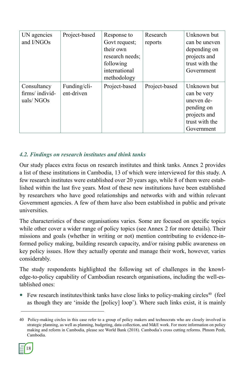| UN agencies<br>and I/NGOs                  | Project-based              | Response to<br>Govt request;<br>their own<br>research needs;<br>following<br>international<br>methodology | Research<br>reports | Unknown but<br>can be uneven<br>depending on<br>projects and<br>trust with the<br>Government           |
|--------------------------------------------|----------------------------|-----------------------------------------------------------------------------------------------------------|---------------------|--------------------------------------------------------------------------------------------------------|
| Consultancy<br>firms/individ-<br>uals/NGOs | Funding/cli-<br>ent-driven | Project-based                                                                                             | Project-based       | Unknown but<br>can be very<br>uneven de-<br>pending on<br>projects and<br>trust with the<br>Government |

### *4.2. Findings on research institutes and think tanks*

Our study places extra focus on research institutes and think tanks. Annex 2 provides a list of these institutions in Cambodia, 13 of which were interviewed for this study. A few research institutes were established over 20 years ago, while 8 of them were established within the last five years. Most of these new institutions have been established by researchers who have good relationships and networks with and within relevant Government agencies. A few of them have also been established in public and private universities.

The characteristics of these organisations varies. Some are focused on specific topics while other cover a wider range of policy topics (see Annex 2 for more details). Their missions and goals (whether in writing or not) mention contributing to evidence-informed policy making, building research capacity, and/or raising public awareness on key policy issues. How they actually operate and manage their work, however, varies considerably.

The study respondents highlighted the following set of challenges in the knowledge-to-policy capability of Cambodian research organisations, including the well-established ones:

Few research institutes/think tanks have close links to policy-making circles<sup>40</sup> (feel as though they are 'inside the [policy] loop'). Where such links exist, it is mainly

<sup>40</sup> Policy-making circles in this case refer to a group of policy makers and technocrats who are closely involved in strategic planning, as well as planning, budgeting, data collection, and M&E work. For more information on policy making and reform in Cambodia, please see World Bank (2018). Cambodia's cross cutting reforms. Phnom Penh, Cambodia.

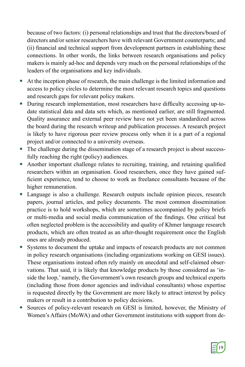because of two factors: (i) personal relationships and trust that the directors/board of directors and/or senior researchers have with relevant Government counterparts; and (ii) financial and technical support from development partners in establishing these connections. In other words, the links between research organisations and policy makers is mainly ad-hoc and depends very much on the personal relationships of the leaders of the organisations and key individuals.

- At the inception phase of research, the main challenge is the limited information and access to policy circles to determine the most relevant research topics and questions and research gaps for relevant policy makers.
- During research implementation, most researchers have difficulty accessing up-todate statistical data and data sets which, as mentioned earlier, are still fragmented. Quality assurance and external peer review have not yet been standardized across the board during the research writeup and publication processes. A research project is likely to have rigorous peer review process only when it is a part of a regional project and/or connected to a university overseas.
- The challenge during the dissemination stage of a research project is about successfully reaching the right (policy) audiences.
- Another important challenge relates to recruiting, training, and retaining qualified researchers within an organisation. Good researchers, once they have gained sufficient experience, tend to choose to work as freelance consultants because of the higher remuneration.
- Language is also a challenge. Research outputs include opinion pieces, research papers, journal articles, and policy documents. The most common dissemination practice is to hold workshops, which are sometimes accompanied by policy briefs or multi-media and social media communication of the findings. One critical but often neglected problem is the accessibility and quality of Khmer language research products, which are often treated as an after-thought requirement once the English ones are already produced.
- Systems to document the uptake and impacts of research products are not common in policy research organisations (including organizations working on GESI issues). These organisations instead often rely mainly on anecdotal and self-claimed observations. That said, it is likely that knowledge products by those considered as 'inside the loop,' namely, the Government's own research groups and technical experts (including those from donor agencies and individual consultants) whose expertise is requested directly by the Government are more likely to attract interest by policy makers or result in a contribution to policy decisions.
- Sources of policy-relevant research on GESI is limited, however, the Ministry of Women's Affairs (MoWA) and other Government institutions with support from de-

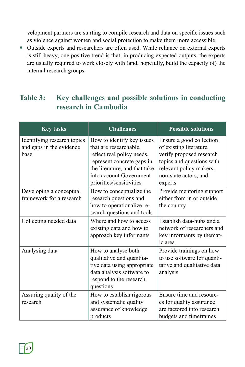velopment partners are starting to compile research and data on specific issues such as violence against women and social protection to make them more accessible.

 Outside experts and researchers are often used. While reliance on external experts is still heavy, one positive trend is that, in producing expected outputs, the experts are usually required to work closely with (and, hopefully, build the capacity of) the internal research groups.

## **Table 3: Key challenges and possible solutions in conducting research in Cambodia**

| <b>Key tasks</b>                                                | <b>Challenges</b>                                                                                                                                                                                        | <b>Possible solutions</b>                                                                                                                                                   |
|-----------------------------------------------------------------|----------------------------------------------------------------------------------------------------------------------------------------------------------------------------------------------------------|-----------------------------------------------------------------------------------------------------------------------------------------------------------------------------|
| Identifying research topics<br>and gaps in the evidence<br>base | How to identify key issues<br>that are researchable,<br>reflect real policy needs,<br>represent concrete gaps in<br>the literature, and that take<br>into account Government<br>priorities/sensitivities | Ensure a good collection<br>of existing literature,<br>verify proposed research<br>topics and questions with<br>relevant policy makers,<br>non-state actors, and<br>experts |
| Developing a conceptual<br>framework for a research             | How to conceptualize the<br>research questions and<br>how to operationalize re-<br>search questions and tools                                                                                            | Provide mentoring support<br>either from in or outside<br>the country                                                                                                       |
| Collecting needed data                                          | Where and how to access<br>existing data and how to<br>approach key informants                                                                                                                           | Establish data-hubs and a<br>network of researchers and<br>key informants by themat-<br>ic area                                                                             |
| Analysing data                                                  | How to analyse both<br>qualitative and quantita-<br>tive data using appropriate<br>data analysis software to<br>respond to the research<br>questions                                                     | Provide trainings on how<br>to use software for quanti-<br>tative and qualitative data<br>analysis                                                                          |
| Assuring quality of the<br>research                             | How to establish rigorous<br>and systematic quality<br>assurance of knowledge<br>products                                                                                                                | Ensure time and resourc-<br>es for quality assurance<br>are factored into research<br>budgets and timeframes                                                                |

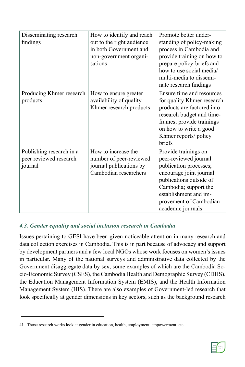| Disseminating research<br>findings                            | How to identify and reach<br>out to the right audience<br>in both Government and<br>non-government organi-<br>sations | Promote better under-<br>standing of policy-making<br>process in Cambodia and<br>provide training on how to<br>prepare policy-briefs and<br>how to use social media/<br>multi-media to dissemi-<br>nate research findings      |
|---------------------------------------------------------------|-----------------------------------------------------------------------------------------------------------------------|--------------------------------------------------------------------------------------------------------------------------------------------------------------------------------------------------------------------------------|
| Producing Khmer research<br>products                          | How to ensure greater<br>availability of quality<br>Khmer research products                                           | Ensure time and resources<br>for quality Khmer research<br>products are factored into<br>research budget and time-<br>frames; provide trainings<br>on how to write a good<br>Khmer reports/ policy<br>briefs                   |
| Publishing research in a<br>peer reviewed research<br>journal | How to increase the<br>number of peer-reviewed<br>journal publications by<br>Cambodian researchers                    | Provide trainings on<br>peer-reviewed journal<br>publication processes;<br>encourage joint journal<br>publications outside of<br>Cambodia; support the<br>establishment and im-<br>provement of Cambodian<br>academic journals |

### *4.3. Gender equality and social inclusion research in Cambodia*

Issues pertaining to GESI have been given noticeable attention in many research and data collection exercises in Cambodia. This is in part because of advocacy and support by development partners and a few local NGOs whose work focuses on women's issues in particular. Many of the national surveys and administrative data collected by the Government disaggregate data by sex, some examples of which are the Cambodia Socio-Economic Survey (CSES), the Cambodia Health and Demographic Survey (CDHS), the Education Management Information System (EMIS), and the Health Information Management System (HIS). There are also examples of Government-led research that look specifically at gender dimensions in key sectors, such as the background research



<sup>41</sup> Those research works look at gender in education, health, employment, empowerment, etc.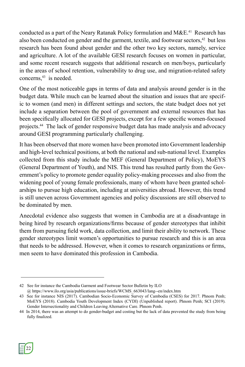conducted as a part of the Neary Ratanak Policy formulation and  $M\&E<sup>41</sup>$  Research has also been conducted on gender and the garment, textile, and footwear sectors.<sup>42</sup> but less research has been found about gender and the other two key sectors, namely, service and agriculture. A lot of the available GESI research focuses on women in particular, and some recent research suggests that additional research on men/boys, particularly in the areas of school retention, vulnerability to drug use, and migration-related safety concerns,<sup>43</sup> is needed.

One of the most noticeable gaps in terms of data and analysis around gender is in the budget data. While much can be learned about the situation and issues that are specific to women (and men) in different settings and sectors, the state budget does not yet include a separation between the pool of government and external resources that has been specifically allocated for GESI projects, except for a few specific women-focused projects.44 The lack of gender responsive budget data has made analysis and advocacy around GESI programming particularly challenging.

It has been observed that more women have been promoted into Government leadership and high-level technical positions, at both the national and sub-national level. Examples collected from this study include the MEF (General Department of Policy), MoEYS (General Department of Youth), and NIS. This trend has resulted partly from the Government's policy to promote gender equality policy-making processes and also from the widening pool of young female professionals, many of whom have been granted scholarships to pursue high education, including at universities abroad. However, this trend is still uneven across Government agencies and policy discussions are still observed to be dominated by men.

Anecdotal evidence also suggests that women in Cambodia are at a disadvantage in being hired by research organizations/firms because of gender stereotypes that inhibit them from pursuing field work, data collection, and limit their ability to network. These gender stereotypes limit women's opportunities to pursue research and this is an area that needs to be addressed. However, when it comes to research organizations or firms, men seem to have dominated this profession in Cambodia.



<sup>42</sup> See for instance the Cambodia Garment and Footwear Sector Bulletin by ILO @ https://www.ilo.org/asia/publications/issue-briefs/WCMS\_663043/lang--en/index.htm

<sup>43</sup> See for instance NIS (2017). Cambodian Socio-Economic Survey of Cambodia (CSES) for 2017. Phnom Penh; MoEYS (2018). Cambodia Youth Development Index (CYDI) (Unpublished report). Phnom Penh; SCI (2019). Gender Intersectionality and Children Leaving Alternative Care. Phnom Penh.

<sup>44</sup> In 2014, there was an attempt to do gender-budget and costing but the lack of data prevented the study from being fully finalized.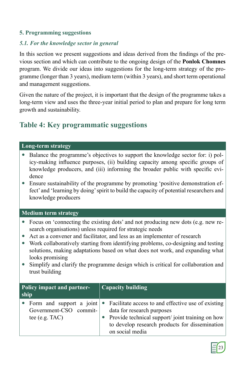### **5. Programming suggestions**

### *5.1. For the knowledge sector in general*

In this section we present suggestions and ideas derived from the findings of the previous section and which can contribute to the ongoing design of the **Ponlok Chomnes** program. We divide our ideas into suggestions for the long-term strategy of the programme (longer than 3 years), medium term (within 3 years), and short term operational and management suggestions.

Given the nature of the project, it is important that the design of the programme takes a long-term view and uses the three-year initial period to plan and prepare for long term growth and sustainability.

### **Table 4: Key programmatic suggestions**

### **Long-term strategy**

- Balance the programme's objectives to support the knowledge sector for: i) policy-making influence purposes, (ii) building capacity among specific groups of knowledge producers, and (iii) informing the broader public with specific evidence
- Ensure sustainability of the programme by promoting 'positive demonstration effect' and 'learning by doing' spirit to build the capacity of potential researchers and knowledge producers

### **Medium term strategy**

- Focus on 'connecting the existing dots' and not producing new dots (e.g. new research organisations) unless required for strategic needs
- Act as a convener and facilitator, and less as an implementer of research
- Work collaboratively starting from identifying problems, co-designing and testing solutions, making adaptations based on what does not work, and expanding what looks promising
- Simplify and clarify the programme design which is critical for collaboration and trust building

| <b>Policy impact and partner-</b><br>ship |                                            | <b>Capacity building</b>                                                                                                                                                                                                                |
|-------------------------------------------|--------------------------------------------|-----------------------------------------------------------------------------------------------------------------------------------------------------------------------------------------------------------------------------------------|
|                                           | Government-CSO commit-<br>tee $(e.g. TAC)$ | • Form and support a joint • Facilitate access to and effective use of existing<br>data for research purposes<br>• Provide technical support/joint training on how<br>to develop research products for dissemination<br>on social media |

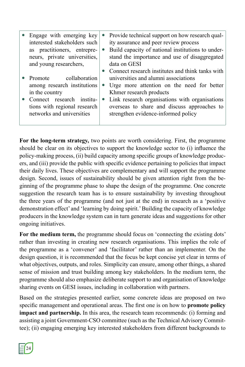| • Engage with emerging key<br>interested stakeholders such<br>as practitioners, entrepre-<br>neurs, private universities,<br>and young researchers,                 | Provide technical support on how research qual-<br>ity assurance and peer review process<br>Build capacity of national institutions to under-<br>$\bullet$<br>stand the importance and use of disaggregated<br>data on GESI<br>Connect research institutes and think tanks with |
|---------------------------------------------------------------------------------------------------------------------------------------------------------------------|---------------------------------------------------------------------------------------------------------------------------------------------------------------------------------------------------------------------------------------------------------------------------------|
| collaboration<br>Promote<br>among research institutions<br>in the country<br>Connect research institu-<br>tions with regional research<br>networks and universities | universities and alumni associations<br>Urge more attention on the need for better<br>$\bullet$<br>Khmer research products<br>Link research organisations with organisations<br>$\bullet$<br>overseas to share and discuss approaches to<br>strengthen evidence-informed policy |

**For the long-term strategy,** two points are worth considering. First, the programme should be clear on its objectives to support the knowledge sector to (i) influence the policy-making process, (ii) build capacity among specific groups of knowledge producers, and (iii) provide the public with specific evidence pertaining to policies that impact their daily lives. These objectives are complementary and will support the programme design. Second, issues of sustainability should be given attention right from the beginning of the programme phase to shape the design of the programme. One concrete suggestion the research team has is to ensure sustainability by investing throughout the three years of the programme (and not just at the end) in research as a 'positive demonstration effect' and 'learning by doing spirit.' Building the capacity of knowledge producers in the knowledge system can in turn generate ideas and suggestions for other ongoing initiatives.

**For the medium term,** the programme should focus on 'connecting the existing dots' rather than investing in creating new research organisations. This implies the role of the programme as a 'convener' and 'facilitator' rather than an implementer. On the design question, it is recommended that the focus be kept concise yet clear in terms of what objectives, outputs, and roles. Simplicity can ensure, among other things, a shared sense of mission and trust building among key stakeholders. In the medium term, the programme should also emphasize deliberate support to and organisation of knowledge sharing events on GESI issues, including in collaboration with partners.

Based on the strategies presented earlier, some concrete ideas are proposed on two specific management and operational areas. The first one is on how to **promote policy impact and partnership.** In this area, the research team recommends: (i) forming and assisting a joint Government-CSO committee (such as the Technical Advisory Committee); (ii) engaging emerging key interested stakeholders from different backgrounds to

24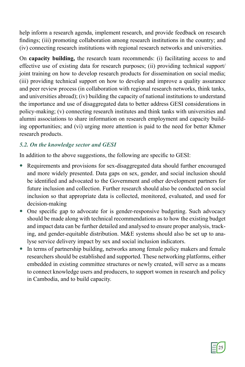help inform a research agenda, implement research, and provide feedback on research findings; (iii) promoting collaboration among research institutions in the country; and (iv) connecting research institutions with regional research networks and universities.

On **capacity building,** the research team recommends: (i) facilitating access to and effective use of existing data for research purposes; (ii) providing technical support/ joint training on how to develop research products for dissemination on social media; (iii) providing technical support on how to develop and improve a quality assurance and peer review process (in collaboration with regional research networks, think tanks, and universities abroad); (iv) building the capacity of national institutions to understand the importance and use of disaggregated data to better address GESI considerations in policy-making; (v) connecting research institutes and think tanks with universities and alumni associations to share information on research employment and capacity building opportunities; and (vi) urging more attention is paid to the need for better Khmer research products.

### *5.2. On the knowledge sector and GESI*

In addition to the above suggestions, the following are specific to GESI:

- Requirements and provisions for sex-disaggregated data should further encouraged and more widely presented. Data gaps on sex, gender, and social inclusion should be identified and advocated to the Government and other development partners for future inclusion and collection. Further research should also be conducted on social inclusion so that appropriate data is collected, monitored, evaluated, and used for decision-making
- One specific gap to advocate for is gender-responsive budgeting. Such advocacy should be made along with technical recommendations as to how the existing budget and impact data can be further detailed and analysed to ensure proper analysis, tracking, and gender-equitable distribution. M&E systems should also be set up to analyse service delivery impact by sex and social inclusion indicators.
- In terms of partnership building, networks among female policy makers and female researchers should be established and supported. These networking platforms, either embedded in existing committee structures or newly created, will serve as a means to connect knowledge users and producers, to support women in research and policy in Cambodia, and to build capacity.

25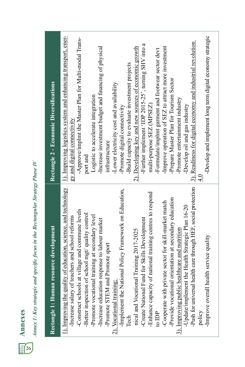| CS<br>P<br>ć |  |
|--------------|--|
| 26           |  |

# Annex 1: Key strategic and specific focus in the Rectangular Strategy Phase IV *Annex 1: Key strategic and specific focus in the Rectangular Strategy Phase IV*

| Rectangle 1: Human resource development                                                                            | Rectangle 2 - Economic Diversifications                                                      |
|--------------------------------------------------------------------------------------------------------------------|----------------------------------------------------------------------------------------------|
| 1). Improving the quality of education, science, and technology<br>-Increase salary of teachers and school reforms | 1). Improving logistics system and enhancing transport, ener-<br>gy and digital connectivity |
| village and commune levels<br>-Better inspection of school mgt/ quality control<br>-Construct schools at           | -Approve/implmt the Master Plan for Multi-modal Trans-<br>port and                           |
| -Promote vocational training at secondary level                                                                    | Logistic to accelerate integration                                                           |
| -Increase education response to labour market                                                                      | -Increase investment budget and financing of physical                                        |
| Promote sport<br>-Promote STEM and                                                                                 | infrastructure                                                                               |
| 2). Vocational training:                                                                                           | -Lower electricity cost and availability                                                     |
| -Implement the National Policy Framework on Education,                                                             | -Promote digital connectivity                                                                |
| Tech                                                                                                               | -Build capacity to evaluate investment projects                                              |
| Training 2017-2025<br>nical and Vocational                                                                         | 2). Developing key and new sources of economic growth                                        |
| -Create National Fund for Skills Development                                                                       | -Further implement 'IDP 2015-25', turning SHV into a                                         |
| -Enhance capacity of national training centres to respond                                                          | multi-purpose SEZ (MPSEZ)                                                                    |
| to IDP                                                                                                             | -Formulate/implmt garment and footwear sector devt                                           |
| -Cooperate with private sector for skill-market match                                                              | -Improve operation of SEZ to attract more investment                                         |
| -Provide vocational orientation at secondary education                                                             | -Prepare Master Plan for Tourism Sector                                                      |
| 3). Improving public healthcare and nutrition                                                                      | -Promote entertainment industry                                                              |
| -Update/implement the Health Strategic Plan 16-20                                                                  | -Develop oil and gas industry                                                                |
| -Push for universal health care through HEF, social protection                                                     | 3). Readiness for digital economy and industrial revolution                                  |
| policy                                                                                                             |                                                                                              |
| -Improve overall health service quality                                                                            | -Develop and implement long term digital economy strategic                                   |
|                                                                                                                    |                                                                                              |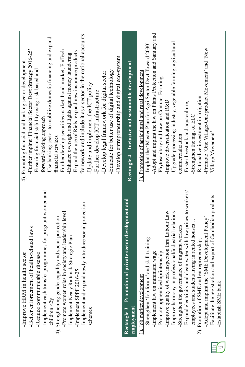| framework and include it as a sector in the national accounts<br>-Use banking sector to mobilize domestic financing and expand<br>-Further implmt 'Financial Sector Devt Strategy 2016-25'<br>-Further develop securities market, bond-market, FinTech<br>-Expand the use of Riels, expand new insurance products<br>-Enhance oversight and fights against money laundering<br>-Develop entrepreneurship and digital eco-system<br>4). Promoting financial and banking sector development<br>-Ensuring financial stability using risk-based and<br>-Educate for better use of digital technology<br>-Develop legal framework for digital sector<br>-Update and implement the ICT policy<br>-Further develop ICT infrastructure<br>forward-looking approach<br>financial services | Rectangle 4 – Inclusive and sustainable development                        | -Adopt and implmt the law on Plants Protection and Sanitary and<br>-Upgrade processing industry, vegetable farming, agricultural<br>-Implmt the 'Master Plan for Agri Sector Devt Toward 2030'<br>-Promote 'One Village-One product Movement' and 'New<br>1). Promotion of agricultural and rural development<br>Phytosanitary and Law on Contract Farming<br>-Rationalize investment in irrigation<br>-Improve diversification and R&D<br>-Foster livestock and aquaculture,<br>-Strengthen the mgt of ELC<br>Village Movement'<br>commercialization                                                                             |
|----------------------------------------------------------------------------------------------------------------------------------------------------------------------------------------------------------------------------------------------------------------------------------------------------------------------------------------------------------------------------------------------------------------------------------------------------------------------------------------------------------------------------------------------------------------------------------------------------------------------------------------------------------------------------------------------------------------------------------------------------------------------------------|----------------------------------------------------------------------------|-----------------------------------------------------------------------------------------------------------------------------------------------------------------------------------------------------------------------------------------------------------------------------------------------------------------------------------------------------------------------------------------------------------------------------------------------------------------------------------------------------------------------------------------------------------------------------------------------------------------------------------|
| -Implement cash transfer programmes for pregnant women and<br>newly introduce social protection<br>Promote women roles in society and leadership level<br>uality and social protection<br>-Better enforcement of health-related laws<br>-Implement Neary Rattanak Strategic Plan<br>-Implement SPPF 2016-25<br>-Improve HRM in health sector<br>le disease<br>-Reduce communicabl<br>$4$ ). Strengthening gender eq<br>Implement and expand<br>children $\langle 2y$<br>schemes                                                                                                                                                                                                                                                                                                  | - Promotion of private sector development and<br>employment<br>Rectangle 3 | -Expand electricity and clean water with low prices to workers/<br>-Facilitate the registration and export of Cambodian products<br>k inspection thru Labour Law<br>-Improve harmony in professional/industrial relations<br>-Adopt and implmt the 'SME Development Policy'<br>employees and students living in rented houses.<br>Strengthen the governance of migrant workers<br>Strengthen 'Job forum' and skill training<br>2). Promotion of SME and entrepreneurship;<br>-Promote apprenticeship/internship<br>-Implement law on minimum wage<br>1). Job market development<br>Improve quality of worl<br>-Establish SME bank |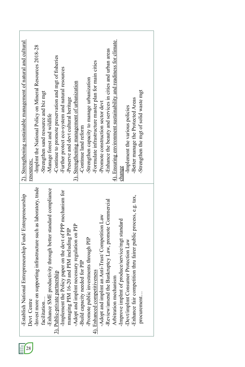|    | -Establish National Entrepreneurship Fund/ Entrepreneurship         | 2). Strengthening sustainable management of natural and cultural  |
|----|---------------------------------------------------------------------|-------------------------------------------------------------------|
| 28 | Devt Centre                                                         | resources:                                                        |
|    | -Invest more on supporting infrastructure such as laboratory, trade | -Implmt the National Policy on Mineral Resources 2018-28          |
|    | facilitation                                                        | -Strengthen sand resource and biz mgt                             |
|    | -Enhance SME productivity through better standard compliance        | -Manage forest and wildlife                                       |
|    | 3). Public-private partnership                                      | -Continue to promote preservation and mgt of fisheries            |
|    | -Implement the Policy paper on the devt of PPP mechanism for        | -Further protect eco-system and natural resources                 |
|    | managing PIM 16-20 and PIM including PIP                            | Preserve and devt cultural heritage                               |
|    | -Adopt and implmt necessary regulation on PIP                       | 3). Strengthening management of urbanization                      |
|    | -Build capacity needed for PIP                                      | -Continue land reform                                             |
|    | -Promote public investments through PIP                             | -Strengthen capacity to manage urbanization                       |
|    | 4). Enhanced competitiveness                                        | -Formulate infrastructure master plan for main cities             |
|    | -Adopt and implmt an Anti-Trust/ Competition Law                    | -Promote construction sector devt                                 |
|    | -Review/amend the Bankruptcy Law, promote Commercial                | -Enhance the beauty and services in cities and urban areas        |
|    | Arbitration mechanism                                               | 4). Ensuring environment sustainability and readiness for climate |
|    | Improve implmt of produce/service/mgt standard                      | change                                                            |
|    | -Devt/implmt Consumer Protection Law                                | -Implement the various policies                                   |
|    | -Enhance fair competition thru fairer public process, e.g. tax,     | -Better manage the Protected Areas                                |
|    | procurement                                                         | -Strengthen the mgt of solid waste mgt                            |
|    |                                                                     |                                                                   |

 $E(28)$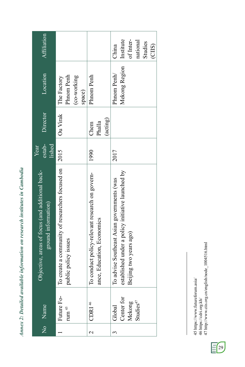Annex 2: Detailed available information on research institutes in Cambodia *Annex 2: Detailed available information on research institutes in Cambodia*

| No<br>Name                                              | Objective, areas of focus (and additional back-<br>ground information)                                                    | estab-<br>lished<br>Year | Director                   | Location                                           | <b>Affiliation</b>                                               |
|---------------------------------------------------------|---------------------------------------------------------------------------------------------------------------------------|--------------------------|----------------------------|----------------------------------------------------|------------------------------------------------------------------|
| Future Fo-<br>rum $^{\rm 45}$                           | To create a community of researchers focused on<br>public policy issues                                                   | 2015                     | Ou Virak                   | Phnom Penh<br>(co-working<br>The Factory<br>space) |                                                                  |
| $CDRI$ <sup>46</sup>                                    | To conduct policy-relevant research on govern-<br>ance, Education, Economics                                              | 1990                     | (acting)<br>Phalla<br>Chem | Phnom Penh                                         |                                                                  |
| Center for<br>Mekong<br>Studies <sup>47</sup><br>Global | established under a policy initiative launched by<br>To advise Southeast Asian governments (was<br>Beijing two years ago) | 2017                     |                            | Mekong Region<br>Phnom Penh/                       | Institute<br>of Inter-<br>national<br>Studies<br>(CIIS)<br>China |

45 https://www.futureforum.asia/<br>46 https://cdri.org.kh/<br>47 http://www.ciis.org.cn/english/node\_1004516.html 47 http://www.ciis.org.cn/english/node\_1004516.html 45 https://www.futureforum.asia/ 46 https://cdri.org.kh/

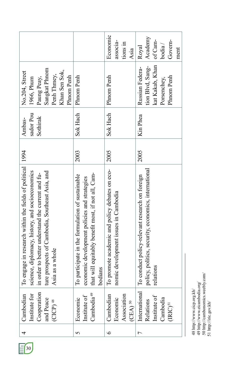|                                                                                                                                                                                                                                            |                                                                                                                                                                   | Economic<br>associa-<br>tions in<br>Asia                                               | Academy<br>Govern-<br>of Cam-<br>$b$ odia /<br>Royal<br>ment                                                        |
|--------------------------------------------------------------------------------------------------------------------------------------------------------------------------------------------------------------------------------------------|-------------------------------------------------------------------------------------------------------------------------------------------------------------------|----------------------------------------------------------------------------------------|---------------------------------------------------------------------------------------------------------------------|
| Sangkat Phnom<br>No.204, Street<br>Khan Sen Sok,<br>Penh Thmey,<br>Phnom Penh<br>1966, Phum<br>Paung Peay,                                                                                                                                 | Phnom Penh                                                                                                                                                        | Phnom Penh                                                                             | kat Kakab, Khan<br>tion Blvd, Sang-<br>Russian Federa-<br>Phnom Penh<br>Porsenchey,                                 |
| sador Pou<br>Sothirak<br>Ambas-                                                                                                                                                                                                            | Sok Hach                                                                                                                                                          | Sok Hach                                                                               | Kin Phea                                                                                                            |
|                                                                                                                                                                                                                                            | 2003                                                                                                                                                              | 2005                                                                                   | 2005                                                                                                                |
| To engage in research within the fields of political 1994<br>science, diplomacy, history, and socioeconomics<br>ture prospects of Cambodia, Southeast Asia, and<br>in order to better understand the current and fu-<br>as a whole<br>Asia | that will equitably benefit most, if not all, Cam-<br>To participate in the formulation of sustainable<br>economic development policies and strategies<br>bodians | To promote academic and policy debates on eco-<br>nomic development issues in Cambodia | policy, politics, security, economics, international<br>To conduct policy-relevant research on foreign<br>relations |
| Cooperation<br>Institute for<br>Cambodian<br>and Peace<br>$(CICP)$ <sup>48</sup>                                                                                                                                                           | Cambodia <sup>49</sup><br>Institute of<br>Economic                                                                                                                | Association<br>Cambodian<br>Economic<br>$(CEA)$ <sup>50</sup>                          | International<br>Relations<br>Institute of<br>Cambodia<br>$\rm (RIC)^{\rm SI}$                                      |
| 4                                                                                                                                                                                                                                          | 5                                                                                                                                                                 | $\bullet$                                                                              | Γ                                                                                                                   |

48 http://www.cicp.org.kh/ $\phi$ http://www.eicambodia.org/ $50$  http://cambonomics.weebly.com/ $51$  http://iric.gov.kh/ 50 http://cambonomics.weebly.com/ 49 http://www.eicambodia.org/ 48 http://www.cicp.org.kh/ 51 http://iric.gov.kh/

 $E(30)$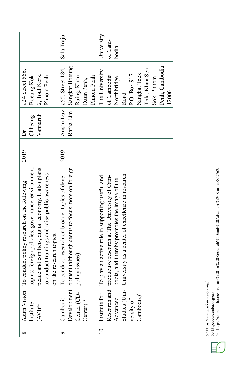|                                                                                                                                                                                                                                                       | Sala Traju                                                                                                                       | University<br>of Cam-<br>bodia                                                                                                                                                                                                  |
|-------------------------------------------------------------------------------------------------------------------------------------------------------------------------------------------------------------------------------------------------------|----------------------------------------------------------------------------------------------------------------------------------|---------------------------------------------------------------------------------------------------------------------------------------------------------------------------------------------------------------------------------|
| #24 Street 566,<br>2, Toul Kork,<br><b>Boeung Kok</b><br>Phnom Penh                                                                                                                                                                                   | Sangkat Boeung<br>#55, Street 184,<br>Phnom Penh<br>Raing, Khan<br>Daun Penh,                                                    | Penh, Cambodia<br>Thla, Khan Sen<br>The University<br>Sangkat Toek<br>P.O. Box 917<br>of Cambodia<br>Northbridge<br>Sok, Phnom<br>Road<br>12000                                                                                 |
| Vannarith<br>Chheang<br>Ďr                                                                                                                                                                                                                            | Ansan Dav<br>Ratha Lim                                                                                                           |                                                                                                                                                                                                                                 |
| 2019                                                                                                                                                                                                                                                  | 2019                                                                                                                             |                                                                                                                                                                                                                                 |
| topics: foreign policies, governance, environment,<br>peace and conflicts, digital economy. It also plans<br>to conduct trainings and raise public awareness<br>Asian Vision   To conduct policy research on the following<br>on the research topics. | Development opment (although seems to focus more on foreign<br>To conduct research on broader topics of devel-<br>policy issues) | Studies (Uni- University as a center of excellence in research<br>Research and productive research at The University of Cam-<br>To play an active role in supporting useful and<br>bodia, and thereby promotes the image of the |
| Institute<br>$(AVI)^{52}$                                                                                                                                                                                                                             | Center (CD-<br>Cambodia<br>Center) <sup>53</sup>                                                                                 | 10 Institute for<br>Cambodia) <sup>54</sup><br>Advanced<br>versity of                                                                                                                                                           |
| $\infty$                                                                                                                                                                                                                                              |                                                                                                                                  |                                                                                                                                                                                                                                 |

52 https://www.asianvision.org/

53 http://cd-center.org/en/

52 https://www.asianvision.org/<br>53 http://cd-center.org/en/<br>54 https://uc.edu.kh/ucs/Institute%20for%20Research%20and%20Advanced%20Studies/8/2762/ 54 https://uc.edu.kh/ucs/Institute%20for%20Research%20and%20Advanced%20Studies/8/2762/

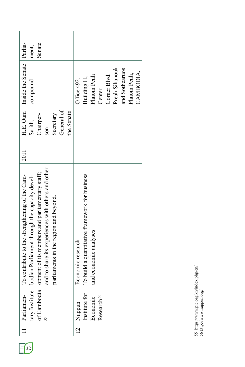| $\begin{array}{c} \hline \end{array}$ | Parliamen-              | To contribute to the strengthening of the Cam-<br>tary Institute   bodian Parliament through the capacity devel- | 2011 | Sarith,    | H.E. Oum   Inside the Senate   Parlia-<br>compound | ment,  |
|---------------------------------------|-------------------------|------------------------------------------------------------------------------------------------------------------|------|------------|----------------------------------------------------|--------|
|                                       |                         | of Cambodia opment of its members and parliamentary staff;                                                       |      | Chairper-  |                                                    | Senate |
|                                       |                         | and to share its experiences with others and other                                                               |      | son        |                                                    |        |
|                                       |                         | parliaments in the region and beyond.                                                                            |      | Secretary  |                                                    |        |
|                                       |                         |                                                                                                                  |      | General of |                                                    |        |
|                                       |                         |                                                                                                                  |      | the Senate |                                                    |        |
| $\overline{2}$                        | Nuppun                  | Economic research                                                                                                |      |            | Office 492,                                        |        |
|                                       | $Institute for$ $\quad$ | To build a quantitative framework for business                                                                   |      |            | Building H,                                        |        |
|                                       | Economic                | and economic analyses                                                                                            |      |            | Phnom Penh                                         |        |
|                                       | Research <sup>56</sup>  |                                                                                                                  |      |            | Center                                             |        |
|                                       |                         |                                                                                                                  |      |            | Corner Blvd.                                       |        |
|                                       |                         |                                                                                                                  |      |            | Preah Sihanouk                                     |        |
|                                       |                         |                                                                                                                  |      |            | and Sothearuos                                     |        |
|                                       |                         |                                                                                                                  |      |            | Phnom Penh,                                        |        |
|                                       |                         |                                                                                                                  |      |            | CAMBODIA.                                          |        |

55 https://www.pic.org.kh/index.php/en/<br>56 http://www.nuppun.org/ 55 https://www.pic.org.kh/index.php/en/ 56 http://www.nuppun.org/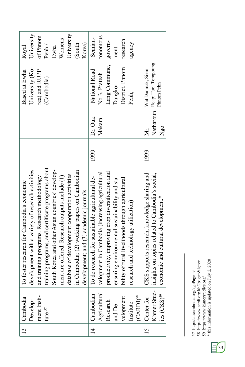| 13        | Cambodia                | To foster research for Cambodia's economic        |      |           | Based at Ewha        | Royal      |
|-----------|-------------------------|---------------------------------------------------|------|-----------|----------------------|------------|
|           | Develop-                | development with a variety of research activities |      |           | University (Ko-      | University |
|           | ment Insti-             | and training programs. Research methodology       |      |           | rea) and RUPP        | of Phnom   |
|           | tute $^{57}$            | training programs, and certificate programs about |      |           | (Cambodia)           | Penh/      |
|           |                         | South Korea and other Asian countries' develop-   |      |           |                      | Ewha       |
|           |                         | ment are offered. Research outputs include (1)    |      |           |                      | Womens     |
|           |                         | database of development cooperation activities    |      |           |                      | University |
|           |                         | in Cambodia; (2) working papers on Cambodian      |      |           |                      | (South     |
|           |                         | development; and (3) academic journals.           |      |           |                      | Korea)     |
| $\vec{4}$ | Cambodian               | To do research for sustainable agricultural de-   | 1999 | Dr. Ouk   | National Road        | Semiau-    |
|           | Agricultural            | velopment in Cambodia (increasing agricultural    |      | Makara    | No 3, Prateah        | tonomous   |
|           | Research                | productivity, improving crop diversification and  |      |           | Lang Commune,        | govern-    |
|           | and De-                 | ensuring environmental sustainability and sta-    |      |           | Dangkor              | ment       |
|           | velopment               | bility of rural livelihoods through agricultural  |      |           | District, Phnom      | research   |
|           | Institute               | research and technology utilization)              |      |           | Penh,                | agency     |
|           | $(CARDI)^{58}$          |                                                   |      |           |                      |            |
|           | 15 Center for           | supports research, knowledge sharing and<br>CKS   | 1999 | Мr.       | Wat Danmak, Siem     |            |
|           | Khmer Stud-             | insights on topics related to Cambodia's social,  |      | Natharoun | Reap; Tuol Tompoung, |            |
|           | ies (CKS) <sup>59</sup> | economic and cultural development.*               |      | Ngo       | Phnom Pehn           |            |

57 http://cdicambodia.org/?goPage=9

58 https://www.cardi.org.kh/?page=&lg=en

57 http://cdicambodia.org/?goPage=9<br>58 https://www.cardi.org.kh/?page=&lg=en<br>59 https://www.khmerstudies.org/<br>\* this information is updated on July 2, 2020 \* this information is updated on July 2, 202059 https://www.khmerstudies.org/

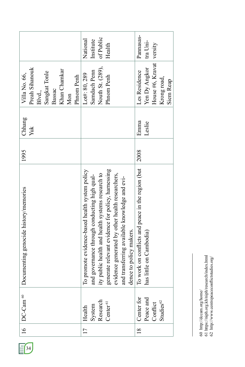| Bassac<br>Blvd.,<br>Mon<br>Emma<br>Leslie<br>Yuk<br>2008<br>To work on conflicts and peace in the region (but<br>generate relevant evidence for policy, harnessing<br>evidence generated by other health researchers,<br>To promote evidence-based health system policy<br>and governance through conducting high quality public health and health systems research to<br>and transferring available knowledge and evi-<br>dence to policy makers.<br>has little on Cambodia)<br>Center for<br>Peace and<br>Conflict<br>Research<br>Studies $^{62}$<br>Center <sup>61</sup><br>System<br>Health<br>17<br>$\frac{8}{18}$ | 16   $DC-Cam$ <sup>60</sup> | Documenting genocide history/memories | 1995 | Chhang | Villa No. 66,              |           |
|-------------------------------------------------------------------------------------------------------------------------------------------------------------------------------------------------------------------------------------------------------------------------------------------------------------------------------------------------------------------------------------------------------------------------------------------------------------------------------------------------------------------------------------------------------------------------------------------------------------------------|-----------------------------|---------------------------------------|------|--------|----------------------------|-----------|
|                                                                                                                                                                                                                                                                                                                                                                                                                                                                                                                                                                                                                         |                             |                                       |      |        | Preah Sihanouk             |           |
|                                                                                                                                                                                                                                                                                                                                                                                                                                                                                                                                                                                                                         |                             |                                       |      |        |                            |           |
|                                                                                                                                                                                                                                                                                                                                                                                                                                                                                                                                                                                                                         |                             |                                       |      |        | Sangkat Tonle              |           |
|                                                                                                                                                                                                                                                                                                                                                                                                                                                                                                                                                                                                                         |                             |                                       |      |        |                            |           |
|                                                                                                                                                                                                                                                                                                                                                                                                                                                                                                                                                                                                                         |                             |                                       |      |        | Khan Chamkar               |           |
|                                                                                                                                                                                                                                                                                                                                                                                                                                                                                                                                                                                                                         |                             |                                       |      |        |                            |           |
|                                                                                                                                                                                                                                                                                                                                                                                                                                                                                                                                                                                                                         |                             |                                       |      |        | Phnom Penh                 |           |
|                                                                                                                                                                                                                                                                                                                                                                                                                                                                                                                                                                                                                         |                             |                                       |      |        | Lot#: 80, 289              | National  |
|                                                                                                                                                                                                                                                                                                                                                                                                                                                                                                                                                                                                                         |                             |                                       |      |        | Samdach Penn               | Institute |
|                                                                                                                                                                                                                                                                                                                                                                                                                                                                                                                                                                                                                         |                             |                                       |      |        | Nouth St. (289),           | of Public |
|                                                                                                                                                                                                                                                                                                                                                                                                                                                                                                                                                                                                                         |                             |                                       |      |        | Phnom Penh                 | Health    |
|                                                                                                                                                                                                                                                                                                                                                                                                                                                                                                                                                                                                                         |                             |                                       |      |        |                            |           |
|                                                                                                                                                                                                                                                                                                                                                                                                                                                                                                                                                                                                                         |                             |                                       |      |        |                            |           |
|                                                                                                                                                                                                                                                                                                                                                                                                                                                                                                                                                                                                                         |                             |                                       |      |        |                            |           |
|                                                                                                                                                                                                                                                                                                                                                                                                                                                                                                                                                                                                                         |                             |                                       |      |        | Les Residence              | Pannasas- |
|                                                                                                                                                                                                                                                                                                                                                                                                                                                                                                                                                                                                                         |                             |                                       |      |        | Yen Dy Angkor              | tra Uni-  |
|                                                                                                                                                                                                                                                                                                                                                                                                                                                                                                                                                                                                                         |                             |                                       |      |        | House #6, Kravat   versity |           |
|                                                                                                                                                                                                                                                                                                                                                                                                                                                                                                                                                                                                                         |                             |                                       |      |        | Krong road,                |           |
|                                                                                                                                                                                                                                                                                                                                                                                                                                                                                                                                                                                                                         |                             |                                       |      |        | Siem Reap                  |           |

60 http://dccam.org/home/<br>61 https://niph.org.kh/niph/research/index.html<br>62 http://www.centrepeaceconflictstudies.org/ 61 https://niph.org.kh/niph/research/index.html 62 http://www.centrepeaceconflictstudies.org/60 http://dccam.org/home/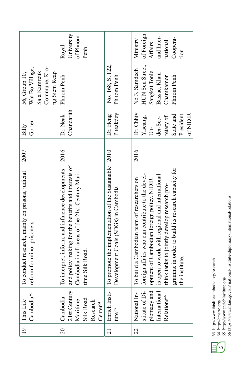|                                                                                   | University<br>of Phnom<br>Royal<br>Penh                                                                                                                                          |                                                                                                 | of Foreign<br>and Inter-<br>Coopera-<br>Ministry<br>national<br><b>Affairs</b><br>tion                                                                                                                                                                                                                                  |
|-----------------------------------------------------------------------------------|----------------------------------------------------------------------------------------------------------------------------------------------------------------------------------|-------------------------------------------------------------------------------------------------|-------------------------------------------------------------------------------------------------------------------------------------------------------------------------------------------------------------------------------------------------------------------------------------------------------------------------|
| Commune, Kro-<br>Wat Bo Village,<br>Sala Kamreuk<br>ng Siem Reap<br>56, Group 10, | Phnom Penh                                                                                                                                                                       | No. 168, St 122,<br>Phnom Penh                                                                  | <b>HUN Sen Street,</b><br>No 3, Samdech<br>Sangkat Tonle<br>Bassac, Khan<br>Chamkamon<br>Phnom Penh                                                                                                                                                                                                                     |
| Gorter<br>Billy                                                                   | Chandarith<br>Dr. Neak                                                                                                                                                           | Pheakdey<br>Dr. Heng                                                                            | Dr. Chhiv<br>of NIDIR<br>President<br>State and<br>retary of<br>Yiseang,<br>der-Sec-<br>$\overline{\mathrm{Un}}$                                                                                                                                                                                                        |
| 2007                                                                              | 2016                                                                                                                                                                             |                                                                                                 | 2016                                                                                                                                                                                                                                                                                                                    |
| To conduct research, mainly on prisons, judicial<br>reform for minor prisoners    | and policy making for the benefits and interests of<br>To interpret, inform, and influence developments<br>Cambodia in all areas of the 21st Century Mari-<br>Silk Road.<br>time | To promote the implementation of the Sustainable   2010<br>Development Goals (SDGs) in Cambodia | gramme in order to build its research capacity for<br>foreign affairs who can contribute to the devel-<br>is open to work with regional and international<br>To build a Cambodian team of researchers on<br>opment of Cambodian foreign policy. NIDIR<br>think tanks to jointly develop research pro-<br>the institute. |
| Cambodia <sup>63</sup><br>19 This Life                                            | 21st Century<br>Cambodia<br>Silk Road<br>Maritime<br>Research<br>Center <sup>64</sup>                                                                                            | Enrich Insti-<br>tute <sup>65</sup>                                                             | stitute of Di-<br>International<br>plomacy and<br>National In-<br>Relations <sup>66</sup>                                                                                                                                                                                                                               |
|                                                                                   | $\overline{c}$                                                                                                                                                                   | $\overline{21}$                                                                                 | $\overline{c}$                                                                                                                                                                                                                                                                                                          |

63 http://www.thislifecambodia.org/research<br>64 http://cmsrrc.org/<br>65 http://www.enrichinstitute.org/<br>66 https://www.mfaic.gov.kh/ national-institute-diplomacy-international-relations 63 http://www.thislifecambodia.org/research

64 http://cmsrrc.org/ 65 http://www.enrichinstitute.org/ 66 https://www.mfaic.gov.kh/ national-institute-diplomacy-international-relations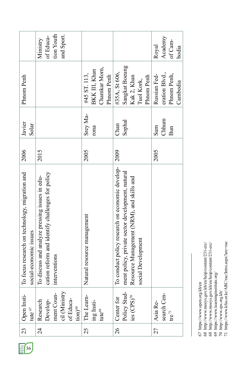|                                                                          | tion Youth<br>and Sport.<br>of Educa-<br>Ministry                                                                   |                                                              |                                                                                                                                                                        | Academy<br>of Cam-<br>Royal<br>bodia                      |
|--------------------------------------------------------------------------|---------------------------------------------------------------------------------------------------------------------|--------------------------------------------------------------|------------------------------------------------------------------------------------------------------------------------------------------------------------------------|-----------------------------------------------------------|
| Phnom Penh                                                               |                                                                                                                     | Chamkar Morn,<br>BKK III, Khan<br>#45 ST. 113,<br>Phnom Penh | Sangkat Boeung<br>#35A, St 606,<br>Kak 2, Khan<br>Phnom Penh<br>Tuol Kork,                                                                                             | eration Blvd.,<br>Russian Fed-<br>Phnom Penh,<br>Cambodia |
| Javier<br>Solar                                                          |                                                                                                                     | Srey Ma-<br>rona                                             | Sophal<br>Chan                                                                                                                                                         | Chhum<br>Sum<br>Bun                                       |
| 2006                                                                     | 2015                                                                                                                | 2005                                                         | 2009                                                                                                                                                                   | 2005                                                      |
| To focus research on technology, migration and<br>social-economic issues | cation reform and identify challenges for policy<br>To discuss and analyze pressing issues in edu-<br>interventions | Natural resource management                                  | To conduct policy research on economic develop-<br>ment policy, private sector development, natural<br>Resource Management (NRM), and skills and<br>social Development |                                                           |
| Open Insti-<br>tute $67$                                                 | ment Coun-<br>cil (Ministry<br>of Educa-<br>Develop-<br>Research<br>$\frac{1}{2}$ tion) <sup>68</sup>               | The Learn-<br>ing Insti-<br>tute $\epsilon$ <sup>69</sup>    | Policy Stud-<br>$\text{ies}$ (CPS) <sup>70</sup><br>Center for                                                                                                         | search Cen-<br>Asia Re-<br>$\mathsf{tre}^{\,\mathsf{71}}$ |
| 23                                                                       | $\frac{4}{3}$                                                                                                       | 25                                                           | 26                                                                                                                                                                     | 27                                                        |

 $E$ <sup>36</sup>

<sup>67</sup> https://www.open.org.kh/en

<sup>68</sup> http://www.moeys.gov.kh/en/heip/content/231-erc/

<sup>67</sup> https://www.open.org.kh/en<br>
68 http://www.moeys.gov.kh/en/heip/content/231-erc/<br>
68 http://www.moeys.gov.kh/en/heip/content/231-erc/<br>
69 https://www.learninginstitute.org/<br>
70 http://www.ps.org.kh/<br>
71 https://www.kfas 68 http://www.moeys.gov.kh/en/heip/content/231-erc/

<sup>69</sup> https://www.learninginstitute.org/

<sup>70</sup> http://www.cps.org.kh/

<sup>71</sup> https://www.kfas.or.kr/ARC/rac/Intro.aspx?arc=rac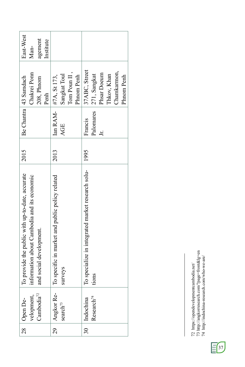| 37ABC, Street<br>Chamkarmon,<br>Tom Poun $II$ ,<br>Chakrei Ponn<br>Phsar Doeum<br>271, Sangkat<br>Sangkat Toul<br>Thkov, Khan<br>Phnom Penh<br>Phnom Penh<br>#7A, St 173,<br>208, Phnom<br>Penh<br>Ian RAM-<br>Palomares<br>Francis<br>AGE<br>Ξ<br>2013<br>1995<br>To specialize in integrated market research solu-<br>information about Cambodia and its economic<br>and social development.<br>To specific in market and public policy related<br>surveys<br>tions<br>Angkor Re-<br>velopment,<br>Cambodia <sup>72</sup><br>Research <sup>74</sup><br>30 Indochina<br>search <sup>73</sup><br>$\frac{1}{29}$ | 28 Open De- | To provide the public with up-to-date, accurate | 2015 | Be Chantra   43 Samdach | East-West |
|-----------------------------------------------------------------------------------------------------------------------------------------------------------------------------------------------------------------------------------------------------------------------------------------------------------------------------------------------------------------------------------------------------------------------------------------------------------------------------------------------------------------------------------------------------------------------------------------------------------------|-------------|-------------------------------------------------|------|-------------------------|-----------|
|                                                                                                                                                                                                                                                                                                                                                                                                                                                                                                                                                                                                                 |             |                                                 |      |                         | Man-      |
|                                                                                                                                                                                                                                                                                                                                                                                                                                                                                                                                                                                                                 |             |                                                 |      |                         | agement   |
|                                                                                                                                                                                                                                                                                                                                                                                                                                                                                                                                                                                                                 |             |                                                 |      |                         | Institute |
|                                                                                                                                                                                                                                                                                                                                                                                                                                                                                                                                                                                                                 |             |                                                 |      |                         |           |
|                                                                                                                                                                                                                                                                                                                                                                                                                                                                                                                                                                                                                 |             |                                                 |      |                         |           |
|                                                                                                                                                                                                                                                                                                                                                                                                                                                                                                                                                                                                                 |             |                                                 |      |                         |           |
|                                                                                                                                                                                                                                                                                                                                                                                                                                                                                                                                                                                                                 |             |                                                 |      |                         |           |
|                                                                                                                                                                                                                                                                                                                                                                                                                                                                                                                                                                                                                 |             |                                                 |      |                         |           |
|                                                                                                                                                                                                                                                                                                                                                                                                                                                                                                                                                                                                                 |             |                                                 |      |                         |           |
|                                                                                                                                                                                                                                                                                                                                                                                                                                                                                                                                                                                                                 |             |                                                 |      |                         |           |
|                                                                                                                                                                                                                                                                                                                                                                                                                                                                                                                                                                                                                 |             |                                                 |      |                         |           |
|                                                                                                                                                                                                                                                                                                                                                                                                                                                                                                                                                                                                                 |             |                                                 |      |                         |           |
|                                                                                                                                                                                                                                                                                                                                                                                                                                                                                                                                                                                                                 |             |                                                 |      |                         |           |

<sup>74</sup> http://indochina-research.com/who-we-are/



<sup>72</sup> https://opendevelopmentcambodia.net/

<sup>72</sup> https://opendevelopmentcambodia.net/<br>73 http://angkorresearch.com/?page=front&lg=en<br>74 http://indochina-research.com/who-we-are/ 73 http://angkorresearch.com/?page=front&lg=en